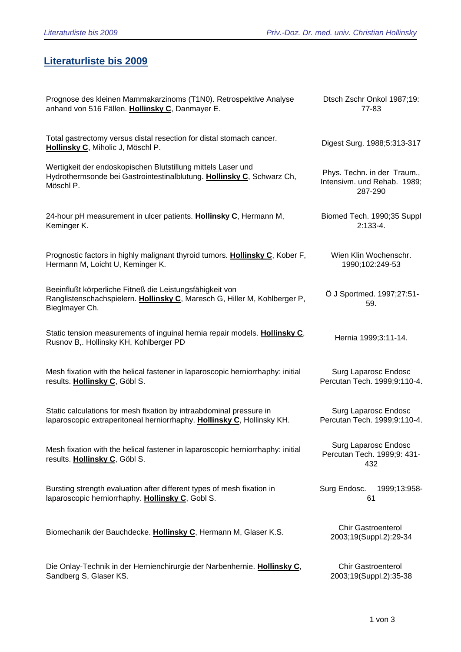## **Literaturliste bis 2009**

| Prognose des kleinen Mammakarzinoms (T1N0). Retrospektive Analyse                                                                                       | Dtsch Zschr Onkol 1987;19:                                 |
|---------------------------------------------------------------------------------------------------------------------------------------------------------|------------------------------------------------------------|
| anhand von 516 Fällen. Hollinsky C, Danmayer E.                                                                                                         | 77-83                                                      |
| Total gastrectomy versus distal resection for distal stomach cancer.<br>Hollinsky C, Miholic J, Möschl P.                                               | Digest Surg. 1988;5:313-317                                |
| Wertigkeit der endoskopischen Blutstillung mittels Laser und                                                                                            | Phys. Techn. in der Traum.,                                |
| Hydrothermsonde bei Gastrointestinalblutung. Hollinsky C, Schwarz Ch,                                                                                   | Intensivm. und Rehab. 1989;                                |
| Möschl P.                                                                                                                                               | 287-290                                                    |
| 24-hour pH measurement in ulcer patients. Hollinsky C, Hermann M,                                                                                       | Biomed Tech. 1990;35 Suppl                                 |
| Keminger K.                                                                                                                                             | $2:133-4.$                                                 |
| Prognostic factors in highly malignant thyroid tumors. Hollinsky C, Kober F,                                                                            | Wien Klin Wochenschr.                                      |
| Hermann M, Loicht U, Keminger K.                                                                                                                        | 1990;102:249-53                                            |
| Beeinflußt körperliche Fitneß die Leistungsfähigkeit von<br>Ranglistenschachspielern. Hollinsky C, Maresch G, Hiller M, Kohlberger P,<br>Bieglmayer Ch. | Ö J Sportmed. 1997;27:51-<br>59.                           |
| Static tension measurements of inguinal hernia repair models. Hollinsky C,<br>Rusnov B,. Hollinsky KH, Kohlberger PD                                    | Hernia 1999;3:11-14.                                       |
| Mesh fixation with the helical fastener in laparoscopic herniorrhaphy: initial                                                                          | Surg Laparosc Endosc                                       |
| results. Hollinsky C, Göbl S.                                                                                                                           | Percutan Tech. 1999;9:110-4.                               |
| Static calculations for mesh fixation by intraabdominal pressure in                                                                                     | Surg Laparosc Endosc                                       |
| laparoscopic extraperitoneal herniorrhaphy. Hollinsky C, Hollinsky KH.                                                                                  | Percutan Tech. 1999;9:110-4.                               |
| Mesh fixation with the helical fastener in laparoscopic herniorrhaphy: initial<br>results. Hollinsky C, Göbl S.                                         | Surg Laparosc Endosc<br>Percutan Tech. 1999;9: 431-<br>432 |
| Bursting strength evaluation after different types of mesh fixation in<br>laparoscopic herniorrhaphy. Hollinsky C, Gobl S.                              | Surg Endosc.<br>1999;13:958-<br>61                         |
| Biomechanik der Bauchdecke. Hollinsky C, Hermann M, Glaser K.S.                                                                                         | <b>Chir Gastroenterol</b><br>2003;19(Suppl.2):29-34        |
| Die Onlay-Technik in der Hernienchirurgie der Narbenhernie. Hollinsky C,                                                                                | <b>Chir Gastroenterol</b>                                  |
| Sandberg S, Glaser KS.                                                                                                                                  | 2003;19(Suppl.2):35-38                                     |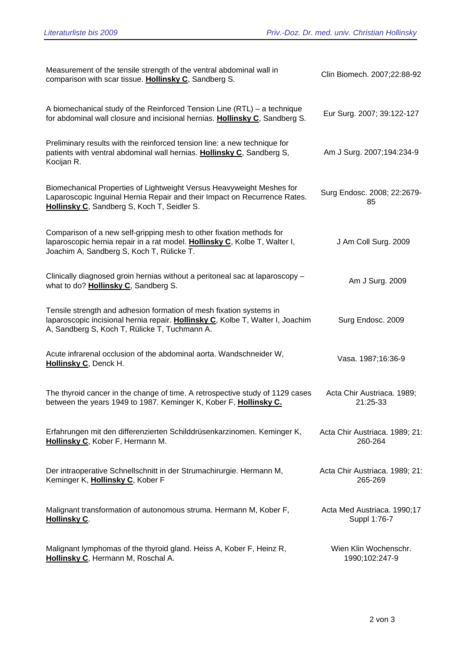| Measurement of the tensile strength of the ventral abdominal wall in<br>comparison with scar tissue. Hollinsky C, Sandberg S.                                                                          | Clin Biomech. 2007;22:88-92                 |
|--------------------------------------------------------------------------------------------------------------------------------------------------------------------------------------------------------|---------------------------------------------|
| A biomechanical study of the Reinforced Tension Line $(RTL)$ – a technique<br>for abdominal wall closure and incisional hernias. Hollinsky C, Sandberg S.                                              | Eur Surg. 2007; 39:122-127                  |
| Preliminary results with the reinforced tension line: a new technique for<br>patients with ventral abdominal wall hernias. Hollinsky C, Sandberg S,<br>Kocijan R.                                      | Am J Surg. 2007;194:234-9                   |
| Biomechanical Properties of Lightweight Versus Heavyweight Meshes for<br>Laparoscopic Inguinal Hernia Repair and their Impact on Recurrence Rates.<br>Hollinsky C, Sandberg S, Koch T, Seidler S.      | Surg Endosc. 2008; 22:2679-<br>85           |
| Comparison of a new self-gripping mesh to other fixation methods for<br>laparoscopic hernia repair in a rat model. Hollinsky C, Kolbe T, Walter I,<br>Joachim A, Sandberg S, Koch T, Rülicke T.        | J Am Coll Surg. 2009                        |
| Clinically diagnosed groin hernias without a peritoneal sac at laparoscopy -<br>what to do? Hollinsky C, Sandberg S.                                                                                   | Am J Surg. 2009                             |
| Tensile strength and adhesion formation of mesh fixation systems in<br>laparoscopic incisional hernia repair. Hollinsky C, Kolbe T, Walter I, Joachim<br>A, Sandberg S, Koch T, Rülicke T, Tuchmann A. | Surg Endosc. 2009                           |
| Acute infrarenal occlusion of the abdominal aorta. Wandschneider W,<br>Hollinsky C, Denck H.                                                                                                           | Vasa. 1987;16:36-9                          |
| The thyroid cancer in the change of time. A retrospective study of 1129 cases<br>between the years 1949 to 1987. Keminger K, Kober F, Hollinsky C.                                                     | Acta Chir Austriaca. 1989;<br>21:25-33      |
| Erfahrungen mit den differenzierten Schilddrüsenkarzinomen. Keminger K,<br>Hollinsky C, Kober F, Hermann M.                                                                                            | Acta Chir Austriaca. 1989; 21:<br>260-264   |
| Der intraoperative Schnellschnitt in der Strumachirurgie. Hermann M,<br>Keminger K, Hollinsky C, Kober F                                                                                               | Acta Chir Austriaca. 1989; 21:<br>265-269   |
| Malignant transformation of autonomous struma. Hermann M, Kober F,<br><b>Hollinsky C.</b>                                                                                                              | Acta Med Austriaca. 1990;17<br>Suppl 1:76-7 |
| Malignant lymphomas of the thyroid gland. Heiss A, Kober F, Heinz R,<br>Hollinsky C, Hermann M, Roschal A.                                                                                             | Wien Klin Wochenschr.<br>1990;102:247-9     |